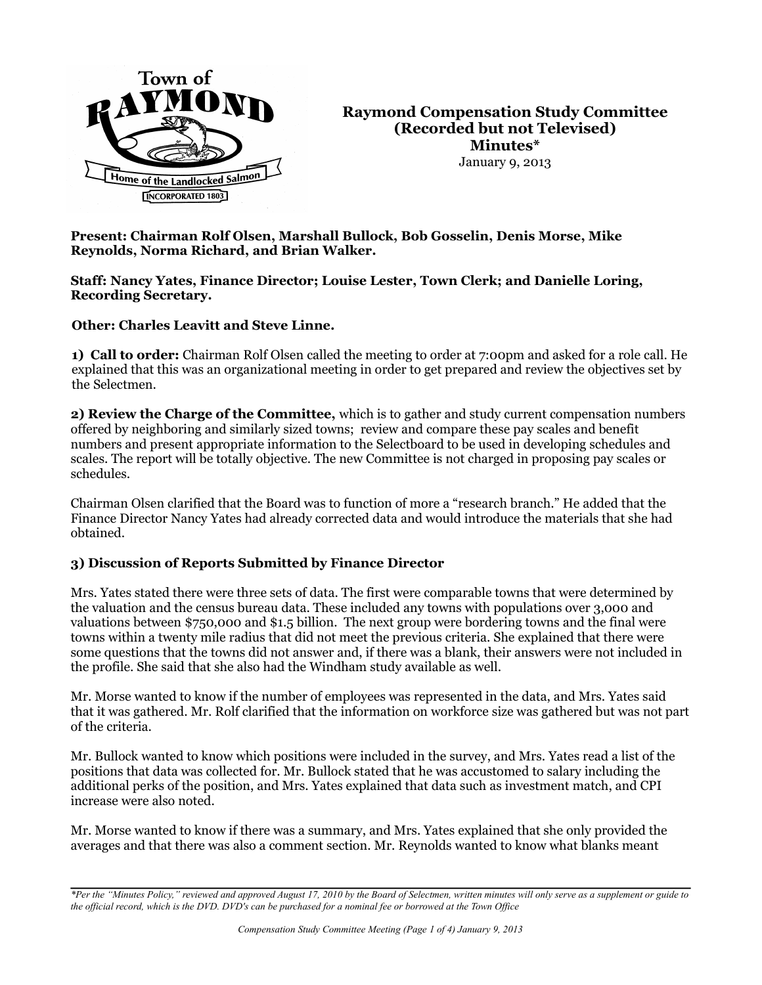

**Raymond Compensation Study Committee (Recorded but not Televised) Minutes\*** January 9, 2013

**Present: Chairman Rolf Olsen, Marshall Bullock, Bob Gosselin, Denis Morse, Mike Reynolds, Norma Richard, and Brian Walker.** 

#### **Staff: Nancy Yates, Finance Director; Louise Lester, Town Clerk; and Danielle Loring, Recording Secretary.**

**Other: Charles Leavitt and Steve Linne.** 

**1) Call to order:** Chairman Rolf Olsen called the meeting to order at 7:00pm and asked for a role call. He explained that this was an organizational meeting in order to get prepared and review the objectives set by the Selectmen.

**2) Review the Charge of the Committee,** which is to gather and study current compensation numbers offered by neighboring and similarly sized towns; review and compare these pay scales and benefit numbers and present appropriate information to the Selectboard to be used in developing schedules and scales. The report will be totally objective. The new Committee is not charged in proposing pay scales or schedules.

Chairman Olsen clarified that the Board was to function of more a "research branch." He added that the Finance Director Nancy Yates had already corrected data and would introduce the materials that she had obtained.

## **3) Discussion of Reports Submitted by Finance Director**

Mrs. Yates stated there were three sets of data. The first were comparable towns that were determined by the valuation and the census bureau data. These included any towns with populations over 3,000 and valuations between \$750,000 and \$1.5 billion. The next group were bordering towns and the final were towns within a twenty mile radius that did not meet the previous criteria. She explained that there were some questions that the towns did not answer and, if there was a blank, their answers were not included in the profile. She said that she also had the Windham study available as well.

Mr. Morse wanted to know if the number of employees was represented in the data, and Mrs. Yates said that it was gathered. Mr. Rolf clarified that the information on workforce size was gathered but was not part of the criteria.

Mr. Bullock wanted to know which positions were included in the survey, and Mrs. Yates read a list of the positions that data was collected for. Mr. Bullock stated that he was accustomed to salary including the additional perks of the position, and Mrs. Yates explained that data such as investment match, and CPI increase were also noted.

Mr. Morse wanted to know if there was a summary, and Mrs. Yates explained that she only provided the averages and that there was also a comment section. Mr. Reynolds wanted to know what blanks meant

*<sup>\*</sup>Per the "Minutes Policy," reviewed and approved August 17, 2010 by the Board of Selectmen, written minutes will only serve as a supplement or guide to the official record, which is the DVD. DVD's can be purchased for a nominal fee or borrowed at the Town Office*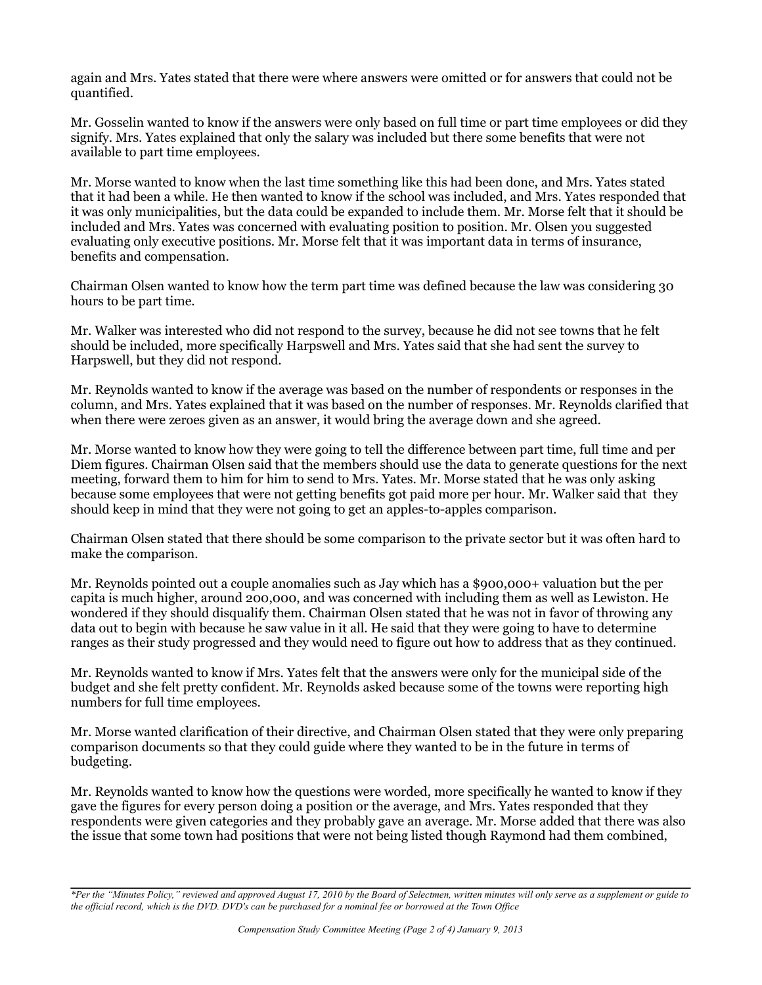again and Mrs. Yates stated that there were where answers were omitted or for answers that could not be quantified.

Mr. Gosselin wanted to know if the answers were only based on full time or part time employees or did they signify. Mrs. Yates explained that only the salary was included but there some benefits that were not available to part time employees.

Mr. Morse wanted to know when the last time something like this had been done, and Mrs. Yates stated that it had been a while. He then wanted to know if the school was included, and Mrs. Yates responded that it was only municipalities, but the data could be expanded to include them. Mr. Morse felt that it should be included and Mrs. Yates was concerned with evaluating position to position. Mr. Olsen you suggested evaluating only executive positions. Mr. Morse felt that it was important data in terms of insurance, benefits and compensation.

Chairman Olsen wanted to know how the term part time was defined because the law was considering 30 hours to be part time.

Mr. Walker was interested who did not respond to the survey, because he did not see towns that he felt should be included, more specifically Harpswell and Mrs. Yates said that she had sent the survey to Harpswell, but they did not respond.

Mr. Reynolds wanted to know if the average was based on the number of respondents or responses in the column, and Mrs. Yates explained that it was based on the number of responses. Mr. Reynolds clarified that when there were zeroes given as an answer, it would bring the average down and she agreed.

Mr. Morse wanted to know how they were going to tell the difference between part time, full time and per Diem figures. Chairman Olsen said that the members should use the data to generate questions for the next meeting, forward them to him for him to send to Mrs. Yates. Mr. Morse stated that he was only asking because some employees that were not getting benefits got paid more per hour. Mr. Walker said that they should keep in mind that they were not going to get an apples-to-apples comparison.

Chairman Olsen stated that there should be some comparison to the private sector but it was often hard to make the comparison.

Mr. Reynolds pointed out a couple anomalies such as Jay which has a \$900,000+ valuation but the per capita is much higher, around 200,000, and was concerned with including them as well as Lewiston. He wondered if they should disqualify them. Chairman Olsen stated that he was not in favor of throwing any data out to begin with because he saw value in it all. He said that they were going to have to determine ranges as their study progressed and they would need to figure out how to address that as they continued.

Mr. Reynolds wanted to know if Mrs. Yates felt that the answers were only for the municipal side of the budget and she felt pretty confident. Mr. Reynolds asked because some of the towns were reporting high numbers for full time employees.

Mr. Morse wanted clarification of their directive, and Chairman Olsen stated that they were only preparing comparison documents so that they could guide where they wanted to be in the future in terms of budgeting.

Mr. Reynolds wanted to know how the questions were worded, more specifically he wanted to know if they gave the figures for every person doing a position or the average, and Mrs. Yates responded that they respondents were given categories and they probably gave an average. Mr. Morse added that there was also the issue that some town had positions that were not being listed though Raymond had them combined,

*<sup>\*</sup>Per the "Minutes Policy," reviewed and approved August 17, 2010 by the Board of Selectmen, written minutes will only serve as a supplement or guide to the official record, which is the DVD. DVD's can be purchased for a nominal fee or borrowed at the Town Office*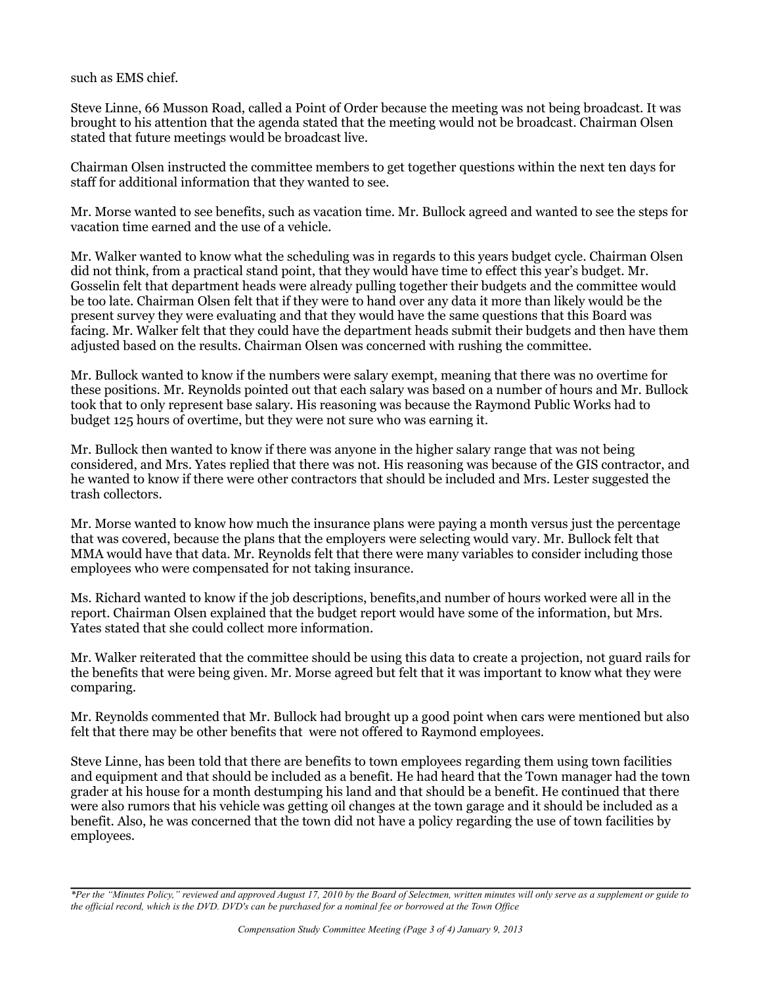such as EMS chief.

Steve Linne, 66 Musson Road, called a Point of Order because the meeting was not being broadcast. It was brought to his attention that the agenda stated that the meeting would not be broadcast. Chairman Olsen stated that future meetings would be broadcast live.

Chairman Olsen instructed the committee members to get together questions within the next ten days for staff for additional information that they wanted to see.

Mr. Morse wanted to see benefits, such as vacation time. Mr. Bullock agreed and wanted to see the steps for vacation time earned and the use of a vehicle.

Mr. Walker wanted to know what the scheduling was in regards to this years budget cycle. Chairman Olsen did not think, from a practical stand point, that they would have time to effect this year's budget. Mr. Gosselin felt that department heads were already pulling together their budgets and the committee would be too late. Chairman Olsen felt that if they were to hand over any data it more than likely would be the present survey they were evaluating and that they would have the same questions that this Board was facing. Mr. Walker felt that they could have the department heads submit their budgets and then have them adjusted based on the results. Chairman Olsen was concerned with rushing the committee.

Mr. Bullock wanted to know if the numbers were salary exempt, meaning that there was no overtime for these positions. Mr. Reynolds pointed out that each salary was based on a number of hours and Mr. Bullock took that to only represent base salary. His reasoning was because the Raymond Public Works had to budget 125 hours of overtime, but they were not sure who was earning it.

Mr. Bullock then wanted to know if there was anyone in the higher salary range that was not being considered, and Mrs. Yates replied that there was not. His reasoning was because of the GIS contractor, and he wanted to know if there were other contractors that should be included and Mrs. Lester suggested the trash collectors.

Mr. Morse wanted to know how much the insurance plans were paying a month versus just the percentage that was covered, because the plans that the employers were selecting would vary. Mr. Bullock felt that MMA would have that data. Mr. Reynolds felt that there were many variables to consider including those employees who were compensated for not taking insurance.

Ms. Richard wanted to know if the job descriptions, benefits,and number of hours worked were all in the report. Chairman Olsen explained that the budget report would have some of the information, but Mrs. Yates stated that she could collect more information.

Mr. Walker reiterated that the committee should be using this data to create a projection, not guard rails for the benefits that were being given. Mr. Morse agreed but felt that it was important to know what they were comparing.

Mr. Reynolds commented that Mr. Bullock had brought up a good point when cars were mentioned but also felt that there may be other benefits that were not offered to Raymond employees.

Steve Linne, has been told that there are benefits to town employees regarding them using town facilities and equipment and that should be included as a benefit. He had heard that the Town manager had the town grader at his house for a month destumping his land and that should be a benefit. He continued that there were also rumors that his vehicle was getting oil changes at the town garage and it should be included as a benefit. Also, he was concerned that the town did not have a policy regarding the use of town facilities by employees.

*<sup>\*</sup>Per the "Minutes Policy," reviewed and approved August 17, 2010 by the Board of Selectmen, written minutes will only serve as a supplement or guide to the official record, which is the DVD. DVD's can be purchased for a nominal fee or borrowed at the Town Office*